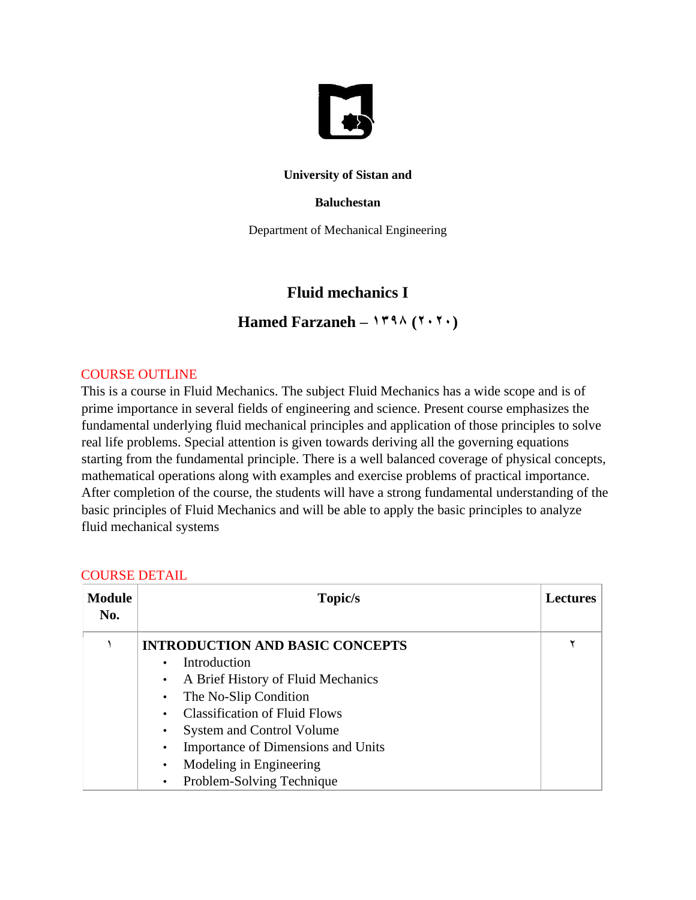

### **University of Sistan and**

#### **Baluchestan**

Department of Mechanical Engineering

# **Fluid mechanics I**

Hamed Farzaneh –  $144 \times (144)$ 

## COURSE OUTLINE

This is a course in Fluid Mechanics. The subject Fluid Mechanics has a wide scope and is of prime importance in several fields of engineering and science. Present course emphasizes the fundamental underlying fluid mechanical principles and application of those principles to solve real life problems. Special attention is given towards deriving all the governing equations starting from the fundamental principle. There is a well balanced coverage of physical concepts, mathematical operations along with examples and exercise problems of practical importance. After completion of the course, the students will have a strong fundamental understanding of the basic principles of Fluid Mechanics and will be able to apply the basic principles to analyze fluid mechanical systems

| <b>Module</b><br>No. | Topic/s                                 | <b>Lectures</b> |
|----------------------|-----------------------------------------|-----------------|
|                      | <b>INTRODUCTION AND BASIC CONCEPTS</b>  |                 |
|                      | Introduction                            |                 |
|                      | A Brief History of Fluid Mechanics      |                 |
|                      | The No-Slip Condition                   |                 |
|                      | <b>Classification of Fluid Flows</b>    |                 |
|                      | <b>System and Control Volume</b><br>٠   |                 |
|                      | Importance of Dimensions and Units<br>٠ |                 |
|                      | Modeling in Engineering<br>$\bullet$    |                 |
|                      | Problem-Solving Technique<br>$\bullet$  |                 |

#### COURSE DETAIL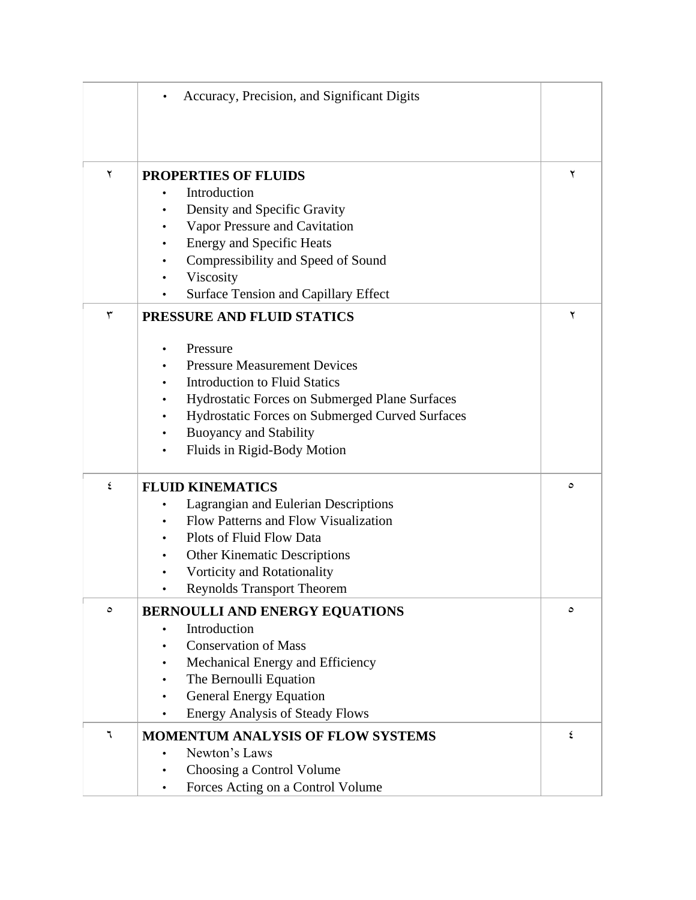|   | Accuracy, Precision, and Significant Digits                              |   |
|---|--------------------------------------------------------------------------|---|
|   |                                                                          |   |
|   |                                                                          |   |
|   |                                                                          |   |
| ٢ | <b>PROPERTIES OF FLUIDS</b>                                              | ۲ |
|   | Introduction                                                             |   |
|   | Density and Specific Gravity                                             |   |
|   | Vapor Pressure and Cavitation                                            |   |
|   | <b>Energy and Specific Heats</b>                                         |   |
|   | Compressibility and Speed of Sound                                       |   |
|   | Viscosity                                                                |   |
|   | Surface Tension and Capillary Effect                                     |   |
| ٣ | PRESSURE AND FLUID STATICS                                               | ۲ |
|   | Pressure                                                                 |   |
|   | <b>Pressure Measurement Devices</b>                                      |   |
|   | <b>Introduction to Fluid Statics</b>                                     |   |
|   | Hydrostatic Forces on Submerged Plane Surfaces                           |   |
|   | Hydrostatic Forces on Submerged Curved Surfaces                          |   |
|   | <b>Buoyancy and Stability</b>                                            |   |
|   | Fluids in Rigid-Body Motion                                              |   |
| ٤ | <b>FLUID KINEMATICS</b>                                                  | ٥ |
|   | Lagrangian and Eulerian Descriptions                                     |   |
|   | Flow Patterns and Flow Visualization                                     |   |
|   | Plots of Fluid Flow Data                                                 |   |
|   | <b>Other Kinematic Descriptions</b>                                      |   |
|   | Vorticity and Rotationality                                              |   |
|   | <b>Reynolds Transport Theorem</b>                                        |   |
| ٥ |                                                                          | ٥ |
|   | <b>BERNOULLI AND ENERGY EQUATIONS</b>                                    |   |
|   | Introduction<br><b>Conservation of Mass</b>                              |   |
|   |                                                                          |   |
|   | Mechanical Energy and Efficiency                                         |   |
|   | The Bernoulli Equation                                                   |   |
|   | <b>General Energy Equation</b><br><b>Energy Analysis of Steady Flows</b> |   |
| ٦ |                                                                          | ٤ |
|   | <b>MOMENTUM ANALYSIS OF FLOW SYSTEMS</b><br>Newton's Laws                |   |
|   |                                                                          |   |
|   | Choosing a Control Volume                                                |   |
|   | Forces Acting on a Control Volume<br>٠                                   |   |